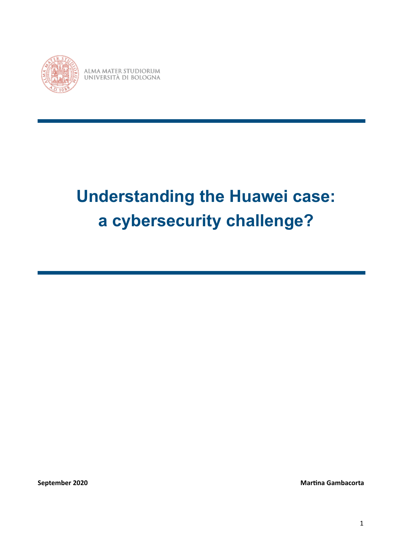

ALMA MATER STUDIORUM UNIVERSITÀ DI BOLOGNA

# **Understanding the Huawei case: a cybersecurity challenge?**

**September 2020 Martina Gambacorta Martina Gambacorta Martina Gambacorta** 

1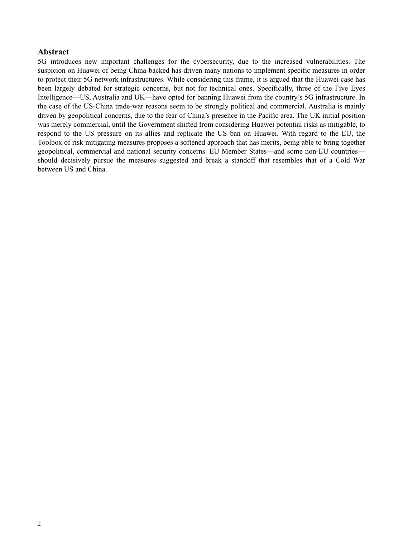# <span id="page-1-0"></span>**Abstract**

5G introduces new important challenges for the cybersecurity, due to the increased vulnerabilities. The suspicion on Huawei of being China-backed has driven many nations to implement specific measures in order to protect their 5G network infrastructures. While considering this frame, it is argued that the Huawei case has been largely debated for strategic concerns, but not for technical ones. Specifically, three of the Five Eyes Intelligence—US, Australia and UK—have opted for banning Huawei from the country's 5G infrastructure. In the case of the US-China trade-war reasons seem to be strongly political and commercial. Australia is mainly driven by geopolitical concerns, due to the fear of China's presence in the Pacific area. The UK initial position was merely commercial, until the Government shifted from considering Huawei potential risks as mitigable, to respond to the US pressure on its allies and replicate the US ban on Huawei. With regard to the EU, the Toolbox of risk mitigating measures proposes a softened approach that has merits, being able to bring together geopolitical, commercial and national security concerns. EU Member States—and some non-EU countries should decisively pursue the measures suggested and break a standoff that resembles that of a Cold War between US and China.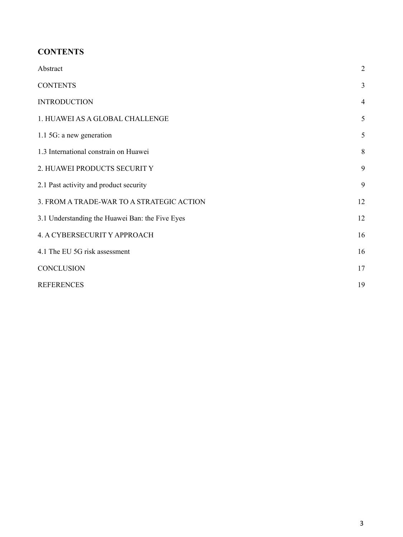# <span id="page-2-0"></span>**CONTENTS**

| Abstract                                        | $\overline{2}$ |
|-------------------------------------------------|----------------|
| <b>CONTENTS</b>                                 | $\overline{3}$ |
| <b>INTRODUCTION</b>                             | $\overline{4}$ |
| 1. HUAWEI AS A GLOBAL CHALLENGE                 | 5              |
| 1.1 5G: a new generation                        | 5              |
| 1.3 International constrain on Huawei           | 8              |
| 2. HUAWEI PRODUCTS SECURITY                     | 9              |
| 2.1 Past activity and product security          | 9              |
| 3. FROM A TRADE-WAR TO A STRATEGIC ACTION       | 12             |
| 3.1 Understanding the Huawei Ban: the Five Eyes | 12             |
| 4. A CYBERSECURIT Y APPROACH                    | 16             |
| 4.1 The EU 5G risk assessment                   | 16             |
| <b>CONCLUSION</b>                               | 17             |
| <b>REFERENCES</b>                               | 19             |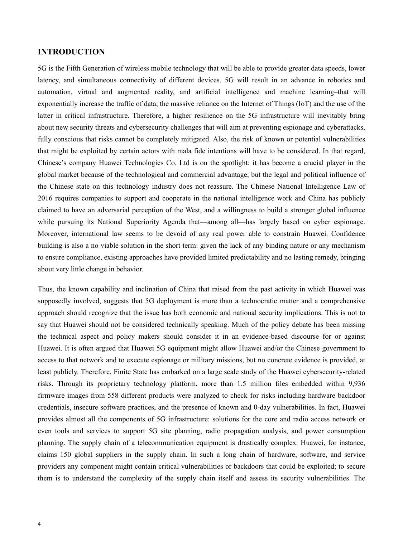#### <span id="page-3-0"></span>**INTRODUCTION**

5G is the Fifth Generation of wireless mobile technology that will be able to provide greater data speeds, lower latency, and simultaneous connectivity of different devices. 5G will result in an advance in robotics and automation, virtual and augmented reality, and artificial intelligence and machine learning–that will exponentially increase the traffic of data, the massive reliance on the Internet of Things (IoT) and the use of the latter in critical infrastructure. Therefore, a higher resilience on the 5G infrastructure will inevitably bring about new security threats and cybersecurity challenges that will aim at preventing espionage and cyberattacks, fully conscious that risks cannot be completely mitigated. Also, the risk of known or potential vulnerabilities that might be exploited by certain actors with mala fide intentions will have to be considered. In that regard, Chinese's company Huawei Technologies Co. Ltd is on the spotlight: it has become a crucial player in the global market because of the technological and commercial advantage, but the legal and political influence of the Chinese state on this technology industry does not reassure. The Chinese National Intelligence Law of 2016 requires companies to support and cooperate in the national intelligence work and China has publicly claimed to have an adversarial perception of the West, and a willingness to build a stronger global influence while pursuing its National Superiority Agenda that—among all—has largely based on cyber espionage. Moreover, international law seems to be devoid of any real power able to constrain Huawei. Confidence building is also a no viable solution in the short term: given the lack of any binding nature or any mechanism to ensure compliance, existing approaches have provided limited predictability and no lasting remedy, bringing about very little change in behavior.

Thus, the known capability and inclination of China that raised from the past activity in which Huawei was supposedly involved, suggests that 5G deployment is more than a technocratic matter and a comprehensive approach should recognize that the issue has both economic and national security implications. This is not to say that Huawei should not be considered technically speaking. Much of the policy debate has been missing the technical aspect and policy makers should consider it in an evidence-based discourse for or against Huawei. It is often argued that Huawei 5G equipment might allow Huawei and/or the Chinese government to access to that network and to execute espionage or military missions, but no concrete evidence is provided, at least publicly. Therefore, Finite State has embarked on a large scale study of the Huawei cybersecurity-related risks. Through its proprietary technology platform, more than 1.5 million files embedded within 9,936 firmware images from 558 different products were analyzed to check for risks including hardware backdoor credentials, insecure software practices, and the presence of known and 0-day vulnerabilities. In fact, Huawei provides almost all the components of 5G infrastructure: solutions for the core and radio access network or even tools and services to support 5G site planning, radio propagation analysis, and power consumption planning. The supply chain of a telecommunication equipment is drastically complex. Huawei, for instance, claims 150 global suppliers in the supply chain. In such a long chain of hardware, software, and service providers any component might contain critical vulnerabilities or backdoors that could be exploited; to secure them is to understand the complexity of the supply chain itself and assess its security vulnerabilities. The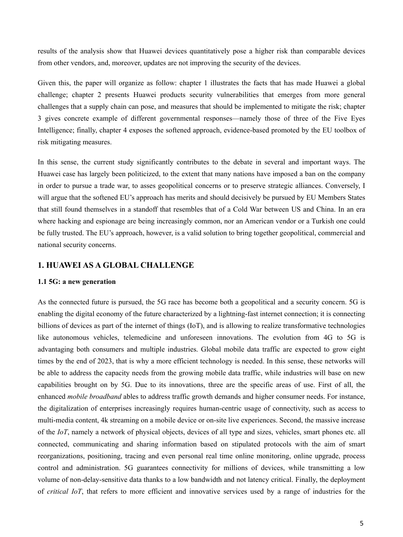results of the analysis show that Huawei devices quantitatively pose a higher risk than comparable devices from other vendors, and, moreover, updates are not improving the security of the devices.

Given this, the paper will organize as follow: chapter 1 illustrates the facts that has made Huawei a global challenge; chapter 2 presents Huawei products security vulnerabilities that emerges from more general challenges that a supply chain can pose, and measures that should be implemented to mitigate the risk; chapter 3 gives concrete example of different governmental responses—namely those of three of the Five Eyes Intelligence; finally, chapter 4 exposes the softened approach, evidence-based promoted by the EU toolbox of risk mitigating measures.

In this sense, the current study significantly contributes to the debate in several and important ways. The Huawei case has largely been politicized, to the extent that many nations have imposed a ban on the company in order to pursue a trade war, to asses geopolitical concerns or to preserve strategic alliances. Conversely, I will argue that the softened EU's approach has merits and should decisively be pursued by EU Members States that still found themselves in a standoff that resembles that of a Cold War between US and China. In an era where hacking and espionage are being increasingly common, nor an American vendor or a Turkish one could be fully trusted. The EU's approach, however, is a valid solution to bring together geopolitical, commercial and national security concerns.

# <span id="page-4-0"></span>**1. HUAWEI AS A GLOBAL CHALLENGE**

#### <span id="page-4-1"></span>**1.1 5G: a new generation**

As the connected future is pursued, the 5G race has become both a geopolitical and a security concern. 5G is enabling the digital economy of the future characterized by a lightning-fast internet connection; it is connecting billions of devices as part of the internet of things (IoT), and is allowing to realize transformative technologies like autonomous vehicles, telemedicine and unforeseen innovations. The evolution from 4G to 5G is advantaging both consumers and multiple industries. Global mobile data traffic are expected to grow eight times by the end of 2023, that is why a more efficient technology is needed. In this sense, these networks will be able to address the capacity needs from the growing mobile data traffic, while industries will base on new capabilities brought on by 5G. Due to its innovations, three are the specific areas of use. First of all, the enhanced *mobile broadband* ables to address traffic growth demands and higher consumer needs. For instance, the digitalization of enterprises increasingly requires human-centric usage of connectivity, such as access to multi-media content, 4k streaming on a mobile device or on-site live experiences. Second, the massive increase of the *IoT*, namely a network of physical objects, devices of all type and sizes, vehicles, smart phones etc. all connected, communicating and sharing information based on stipulated protocols with the aim of smart reorganizations, positioning, tracing and even personal real time online monitoring, online upgrade, process control and administration. 5G guarantees connectivity for millions of devices, while transmitting a low volume of non-delay-sensitive data thanks to a low bandwidth and not latency critical. Finally, the deployment of *critical IoT*, that refers to more efficient and innovative services used by a range of industries for the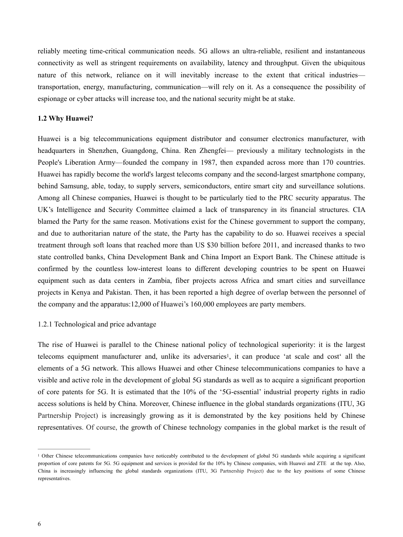reliably meeting time-critical communication needs. 5G allows an ultra-reliable, resilient and instantaneous connectivity as well as stringent requirements on availability, latency and throughput. Given the ubiquitous nature of this network, reliance on it will inevitably increase to the extent that critical industries transportation, energy, manufacturing, communication—will rely on it. As a consequence the possibility of espionage or cyber attacks will increase too, and the national security might be at stake.

#### **1.2 Why Huawei?**

Huawei is a big telecommunications equipment distributor and consumer electronics manufacturer, with headquarters in Shenzhen, Guangdong, China. Ren Zhengfei— previously a military technologists in the People's Liberation Army—founded the company in 1987, then expanded across more than 170 countries. Huawei has rapidly become the world's largest telecoms company and the second-largest smartphone company, behind Samsung, able, today, to supply servers, semiconductors, entire smart city and surveillance solutions. Among all Chinese companies, Huawei is thought to be particularly tied to the PRC security apparatus. The UK's Intelligence and Security Committee claimed a lack of transparency in its financial structures. CIA blamed the Party for the same reason. Motivations exist for the Chinese government to support the company, and due to authoritarian nature of the state, the Party has the capability to do so. Huawei receives a special treatment through soft loans that reached more than US \$30 billion before 2011, and increased thanks to two state controlled banks, China Development Bank and China Import an Export Bank. The Chinese attitude is confirmed by the countless low-interest loans to different developing countries to be spent on Huawei equipment such as data centers in Zambia, fiber projects across Africa and smart cities and surveillance projects in Kenya and Pakistan. Then, it has been reported a high degree of overlap between the personnel of the company and the apparatus:12,000 of Huawei's 160,000 employees are party members.

#### 1.2.1 Technological and price advantage

<span id="page-5-1"></span>The rise of Huawei is parallel to the Chinese national policy of technological superiority: it is the largest telecoms equipment manufacturer and[,](#page-5-0) unlike its adversaries<sup>[1](#page-5-0)</sup>, it can produce 'at scale and cost' all the elements of a 5G network. This allows Huawei and other Chinese telecommunications companies to have a visible and active role in the development of global 5G standards as well as to acquire a significant proportion of core patents for 5G. It is estimated that the 10% of the '5G-essential' industrial property rights in radio access solutions is held by China. Moreover, Chinese influence in the global standards organizations (ITU, 3G Partnership Project) is increasingly growing as it is demonstrated by the key positions held by Chinese representatives. Of course, the growth of Chinese technology companies in the global market is the result of

<span id="page-5-0"></span><sup>&</sup>lt;sup>[1](#page-5-1)</sup> Other Chinese telecommunications companies have noticeably contributed to the development of global 5G standards while acquiring a significant proportion of core patents for 5G. 5G equipment and services is provided for the 10% by Chinese companies, with Huawei and ZTE at the top. Also, China is increasingly influencing the global standards organizations (ITU, 3G Partnership Project) due to the key positions of some Chinese representatives.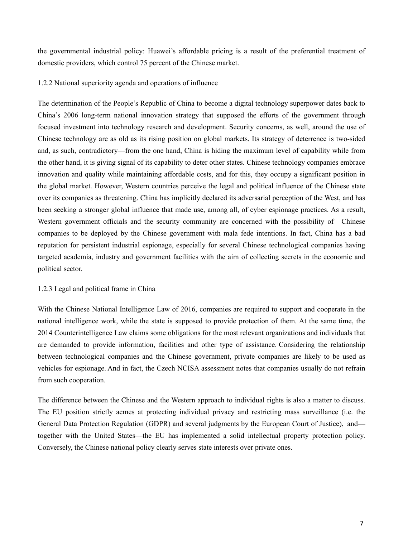the governmental industrial policy: Huawei's affordable pricing is a result of the preferential treatment of domestic providers, which control 75 percent of the Chinese market.

1.2.2 National superiority agenda and operations of influence

The determination of the People's Republic of China to become a digital technology superpower dates back to China's 2006 long-term national innovation strategy that supposed the efforts of the government through focused investment into technology research and development. Security concerns, as well, around the use of Chinese technology are as old as its rising position on global markets. Its strategy of deterrence is two-sided and, as such, contradictory—from the one hand, China is hiding the maximum level of capability while from the other hand, it is giving signal of its capability to deter other states. Chinese technology companies embrace innovation and quality while maintaining affordable costs, and for this, they occupy a significant position in the global market. However, Western countries perceive the legal and political influence of the Chinese state over its companies as threatening. China has implicitly declared its adversarial perception of the West, and has been seeking a stronger global influence that made use, among all, of cyber espionage practices. As a result, Western government officials and the security community are concerned with the possibility of Chinese companies to be deployed by the Chinese government with mala fede intentions. In fact, China has a bad reputation for persistent industrial espionage, especially for several Chinese technological companies having targeted academia, industry and government facilities with the aim of collecting secrets in the economic and political sector.

# 1.2.3 Legal and political frame in China

With the Chinese National Intelligence Law of 2016, companies are required to support and cooperate in the national intelligence work, while the state is supposed to provide protection of them. At the same time, the 2014 Counterintelligence Law claims some obligations for the most relevant organizations and individuals that are demanded to provide information, facilities and other type of assistance. Considering the relationship between technological companies and the Chinese government, private companies are likely to be used as vehicles for espionage. And in fact, the Czech NCISA assessment notes that companies usually do not refrain from such cooperation.

The difference between the Chinese and the Western approach to individual rights is also a matter to discuss. The EU position strictly acmes at protecting individual privacy and restricting mass surveillance (i.e. the General Data Protection Regulation (GDPR) and several judgments by the European Court of Justice), and together with the United States—the EU has implemented a solid intellectual property protection policy. Conversely, the Chinese national policy clearly serves state interests over private ones.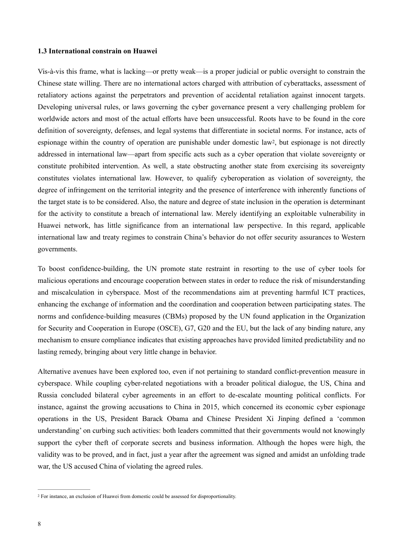#### <span id="page-7-0"></span>**1.3 International constrain on Huawei**

<span id="page-7-2"></span>Vis-à-vis this frame, what is lacking—or pretty weak—is a proper judicial or public oversight to constrain the Chinese state willing. There are no international actors charged with attribution of cyberattacks, assessment of retaliatory actions against the perpetrators and prevention of accidental retaliation against innocent targets. Developing universal rules, or laws governing the cyber governance present a very challenging problem for worldwide actors and most of the actual efforts have been unsuccessful. Roots have to be found in the core definition of sovereignty, defenses, and legal systems that differentiate in societal norms. For instance, acts of espionage within the country of operation are punishable under domestic law<sup>2</sup>[,](#page-7-1) but espionage is not directly addressed in international law—apart from specific acts such as a cyber operation that violate sovereignty or constitute prohibited intervention. As well, a state obstructing another state from exercising its sovereignty constitutes violates international law. However, to qualify cyberoperation as violation of sovereignty, the degree of infringement on the territorial integrity and the presence of interference with inherently functions of the target state is to be considered. Also, the nature and degree of state inclusion in the operation is determinant for the activity to constitute a breach of international law. Merely identifying an exploitable vulnerability in Huawei network, has little significance from an international law perspective. In this regard, applicable international law and treaty regimes to constrain China's behavior do not offer security assurances to Western governments.

To boost confidence-building, the UN promote state restraint in resorting to the use of cyber tools for malicious operations and encourage cooperation between states in order to reduce the risk of misunderstanding and miscalculation in cyberspace. Most of the recommendations aim at preventing harmful ICT practices, enhancing the exchange of information and the coordination and cooperation between participating states. The norms and confidence-building measures (CBMs) proposed by the UN found application in the Organization for Security and Cooperation in Europe (OSCE), G7, G20 and the EU, but the lack of any binding nature, any mechanism to ensure compliance indicates that existing approaches have provided limited predictability and no lasting remedy, bringing about very little change in behavior.

Alternative avenues have been explored too, even if not pertaining to standard conflict-prevention measure in cyberspace. While coupling cyber-related negotiations with a broader political dialogue, the US, China and Russia concluded bilateral cyber agreements in an effort to de-escalate mounting political conflicts. For instance, against the growing accusations to China in 2015, which concerned its economic cyber espionage operations in the US, President Barack Obama and Chinese President Xi Jinping defined a 'common understanding' on curbing such activities: both leaders committed that their governments would not knowingly support the cyber theft of corporate secrets and business information. Although the hopes were high, the validity was to be proved, and in fact, just a year after the agreement was signed and amidst an unfolding trade war, the US accused China of violating the agreed rules.

<span id="page-7-1"></span><sup>&</sup>lt;sup>[2](#page-7-2)</sup> For instance, an exclusion of Huawei from domestic could be assessed for disproportionality.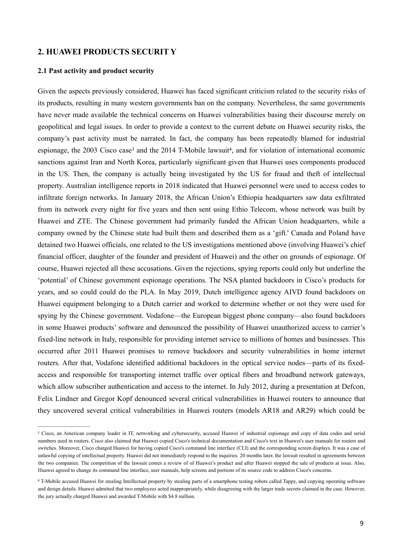# <span id="page-8-0"></span>**2. HUAWEI PRODUCTS SECURIT Y**

# <span id="page-8-1"></span>**2.1 Past activity and product security**

<span id="page-8-5"></span><span id="page-8-4"></span>Given the aspects previously considered, Huawei has faced significant criticism related to the security risks of its products, resulting in many western governments ban on the company. Nevertheless, the same governments have never made available the technical concerns on Huawei vulnerabilities basing their discourse merely on geopolitical and legal issues. In order to provide a context to the current debate on Huawei security risks, the company's past activity must be narrated. In fact, the company has been repeatedly blamed for industrial espionage, th[e](#page-8-2) 2003 Cisco case<sup>3</sup> and the 2014 T-Mobile lawsuit<sup>4</sup>[,](#page-8-3) and for violation of international economic sanctions against Iran and North Korea, particularly significant given that Huawei uses components produced in the US. Then, the company is actually being investigated by the US for fraud and theft of intellectual property. Australian intelligence reports in 2018 indicated that Huawei personnel were used to access codes to infiltrate foreign networks. In January 2018, the African Union's Ethiopia headquarters saw data exfiltrated from its network every night for five years and then sent using Ethio Telecom, whose network was built by Huawei and ZTE. The Chinese government had primarily funded the African Union headquarters, while a company owned by the Chinese state had built them and described them as a 'gift.' Canada and Poland have detained two Huawei officials, one related to the US investigations mentioned above (involving Huawei's chief financial officer, daughter of the founder and president of Huawei) and the other on grounds of espionage. Of course, Huawei rejected all these accusations. Given the rejections, spying reports could only but underline the 'potential' of Chinese government espionage operations. The NSA planted backdoors in Cisco's products for years, and so could could do the PLA. In May 2019, Dutch intelligence agency AIVD found backdoors on Huawei equipment belonging to a Dutch carrier and worked to determine whether or not they were used for spying by the Chinese government. Vodafone—the European biggest phone company—also found backdoors in some Huawei products' software and denounced the possibility of Huawei unauthorized access to carrier's fixed-line network in Italy, responsible for providing internet service to millions of homes and businesses. This occurred after 2011 Huawei promises to remove backdoors and security vulnerabilities in home internet routers. After that, Vodafone identified additional backdoors in the optical service nodes—parts of its fixedaccess and responsible for transporting internet traffic over optical fibers and broadband network gateways, which allow subscriber authentication and access to the internet. In July 2012, during a presentation at Defcon, Felix Lindner and Gregor Kopf denounced several critical vulnerabilities in Huawei routers to announce that they uncovered several critical vulnerabilities in Huawei routers (models AR18 and AR29) which could be

<span id="page-8-2"></span><sup>&</sup>lt;sup>[3](#page-8-4)</sup> Cisco, an American company leader in IT, networking and cybersecurity, accused Huawei of industrial espionage and copy of data codes and serial numbers used in routers. Cisco also claimed that Huawei copied Cisco's technical documentation and Cisco's text in Huawei's user manuals for routers and switches. Moreover, Cisco charged Huawei for having copied Cisco's command line interface (CLI) and the corresponding screen displays. It was a case of unlawful copying of intellectual property. Huawei did not immediately respond to the inquiries. 20 months later, the lawsuit resulted in agreements between the two companies. The competition of the lawsuit comes a review of of Huawei's product and after Huawei stopped the sale of products at issue. Also, Huawei agreed to change its command line interface, user manuals, help screens and portions of its source code to address Cisco's concerns.

<span id="page-8-3"></span>T-Mobile accused Huawei for stealing Intellectual property by stealing parts of a smartphone testing robots called Tappy, and copying operating software [4](#page-8-5) and design details. Huawei admitted that two employees acted inappropriately, while disagreeing with the larger trade secrets claimed in the case. However, the jury actually charged Huawei and awarded T-Mobile with \$4.8 million.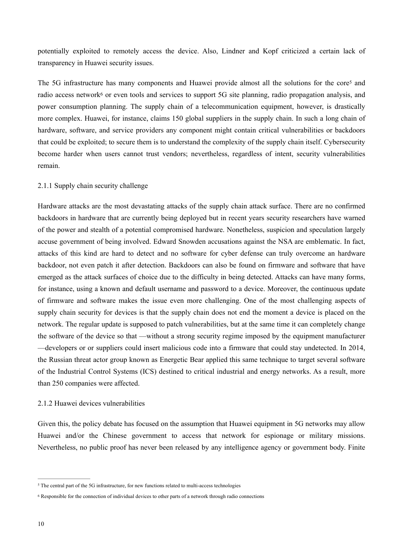potentially exploited to remotely access the device. Also, Lindner and Kopf criticized a certain lack of transparency in Huawei security issues.

<span id="page-9-3"></span><span id="page-9-2"></span>The [5](#page-9-0)G infrastructure has many components and Huawei provide almost all the solutions for the core<sup>5</sup> and radio access networ[k](#page-9-1)<sup>[6](#page-9-1)</sup> or even tools and services to support 5G site planning, radio propagation analysis, and power consumption planning. The supply chain of a telecommunication equipment, however, is drastically more complex. Huawei, for instance, claims 150 global suppliers in the supply chain. In such a long chain of hardware, software, and service providers any component might contain critical vulnerabilities or backdoors that could be exploited; to secure them is to understand the complexity of the supply chain itself. Cybersecurity become harder when users cannot trust vendors; nevertheless, regardless of intent, security vulnerabilities remain.

# 2.1.1 Supply chain security challenge

Hardware attacks are the most devastating attacks of the supply chain attack surface. There are no confirmed backdoors in hardware that are currently being deployed but in recent years security researchers have warned of the power and stealth of a potential compromised hardware. Nonetheless, suspicion and speculation largely accuse government of being involved. Edward Snowden accusations against the NSA are emblematic. In fact, attacks of this kind are hard to detect and no software for cyber defense can truly overcome an hardware backdoor, not even patch it after detection. Backdoors can also be found on firmware and software that have emerged as the attack surfaces of choice due to the difficulty in being detected. Attacks can have many forms, for instance, using a known and default username and password to a device. Moreover, the continuous update of firmware and software makes the issue even more challenging. One of the most challenging aspects of supply chain security for devices is that the supply chain does not end the moment a device is placed on the network. The regular update is supposed to patch vulnerabilities, but at the same time it can completely change the software of the device so that —without a strong security regime imposed by the equipment manufacturer —developers or or suppliers could insert malicious code into a firmware that could stay undetected. In 2014, the Russian threat actor group known as Energetic Bear applied this same technique to target several software of the Industrial Control Systems (ICS) destined to critical industrial and energy networks. As a result, more than 250 companies were affected.

# 2.1.2 Huawei devices vulnerabilities

Given this, the policy debate has focused on the assumption that Huawei equipment in 5G networks may allow Huawei and/or the Chinese government to access that network for espionage or military missions. Nevertheless, no public proof has never been released by any intelligence agency or government body. Finite

<span id="page-9-0"></span><sup>&</sup>lt;sup>[5](#page-9-2)</sup> The central part of the 5G infrastructure, for new functions related to multi-access technologies

<span id="page-9-1"></span>Responsible for the connection of individual devices to other parts of a network through radio connections [6](#page-9-3)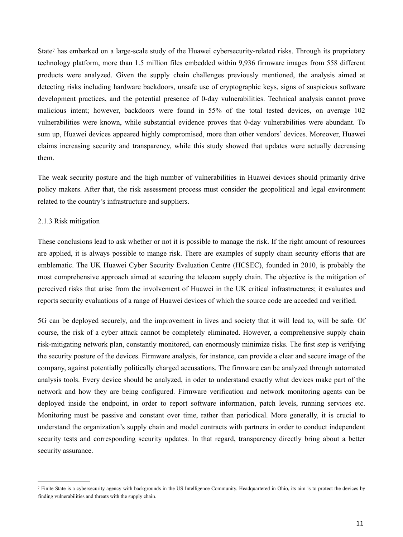<span id="page-10-1"></span>State<sup>7</sup> has embarked on a large-scal[e](#page-10-0) study of the Huawei cybersecurity-related risks. Through its proprietary technology platform, more than 1.5 million files embedded within 9,936 firmware images from 558 different products were analyzed. Given the supply chain challenges previously mentioned, the analysis aimed at detecting risks including hardware backdoors, unsafe use of cryptographic keys, signs of suspicious software development practices, and the potential presence of 0-day vulnerabilities. Technical analysis cannot prove malicious intent; however, backdoors were found in 55% of the total tested devices, on average 102 vulnerabilities were known, while substantial evidence proves that 0-day vulnerabilities were abundant. To sum up, Huawei devices appeared highly compromised, more than other vendors' devices. Moreover, Huawei claims increasing security and transparency, while this study showed that updates were actually decreasing them.

The weak security posture and the high number of vulnerabilities in Huawei devices should primarily drive policy makers. After that, the risk assessment process must consider the geopolitical and legal environment related to the country's infrastructure and suppliers.

# 2.1.3 Risk mitigation

These conclusions lead to ask whether or not it is possible to manage the risk. If the right amount of resources are applied, it is always possible to mange risk. There are examples of supply chain security efforts that are emblematic. The UK Huawei Cyber Security Evaluation Centre (HCSEC), founded in 2010, is probably the most comprehensive approach aimed at securing the telecom supply chain. The objective is the mitigation of perceived risks that arise from the involvement of Huawei in the UK critical infrastructures; it evaluates and reports security evaluations of a range of Huawei devices of which the source code are acceded and verified.

5G can be deployed securely, and the improvement in lives and society that it will lead to, will be safe. Of course, the risk of a cyber attack cannot be completely eliminated. However, a comprehensive supply chain risk-mitigating network plan, constantly monitored, can enormously minimize risks. The first step is verifying the security posture of the devices. Firmware analysis, for instance, can provide a clear and secure image of the company, against potentially politically charged accusations. The firmware can be analyzed through automated analysis tools. Every device should be analyzed, in oder to understand exactly what devices make part of the network and how they are being configured. Firmware verification and network monitoring agents can be deployed inside the endpoint, in order to report software information, patch levels, running services etc. Monitoring must be passive and constant over time, rather than periodical. More generally, it is crucial to understand the organization's supply chain and model contracts with partners in order to conduct independent security tests and corresponding security updates. In that regard, transparency directly bring about a better security assurance.

<span id="page-10-0"></span>Finite State is a cybersecurity agency with backgrounds in the US Intelligence Community. Headquartered in Ohio, its aim is to protect the devices by [7](#page-10-1) finding vulnerabilities and threats with the supply chain.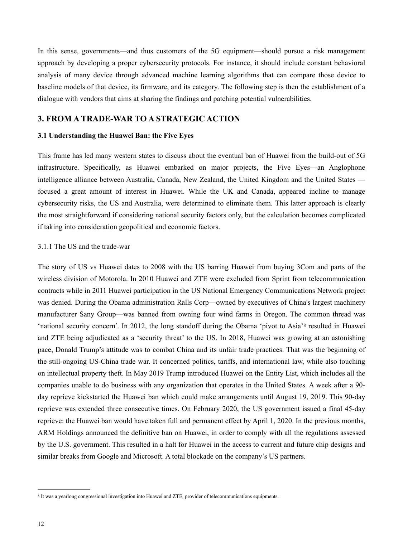In this sense, governments—and thus customers of the 5G equipment—should pursue a risk management approach by developing a proper cybersecurity protocols. For instance, it should include constant behavioral analysis of many device through advanced machine learning algorithms that can compare those device to baseline models of that device, its firmware, and its category. The following step is then the establishment of a dialogue with vendors that aims at sharing the findings and patching potential vulnerabilities.

# <span id="page-11-0"></span>**3. FROM A TRADE-WAR TO A STRATEGIC ACTION**

#### <span id="page-11-1"></span>**3.1 Understanding the Huawei Ban: the Five Eyes**

This frame has led many western states to discuss about the eventual ban of Huawei from the build-out of 5G infrastructure. Specifically, as Huawei embarked on major projects, the Five Eyes—an Anglophone intelligence alliance between Australia, Canada, New Zealand, the United Kingdom and the United States focused a great amount of interest in Huawei. While the UK and Canada, appeared incline to manage cybersecurity risks, the US and Australia, were determined to eliminate them. This latter approach is clearly the most straightforward if considering national security factors only, but the calculation becomes complicated if taking into consideration geopolitical and economic factors.

#### 3.1.1 The US and the trade-war

<span id="page-11-3"></span>The story of US vs Huawei dates to 2008 with the US barring Huawei from buying 3Com and parts of the wireless division of Motorola. In 2010 Huawei and ZTE were excluded from Sprint from telecommunication contracts while in 2011 Huawei participation in the US National Emergency Communications Network project was denied. During the Obama administration Ralls Corp—owned by executives of China's largest machinery manufacturer Sany Group—was banned from owning four wind farms in Oregon. The common thread was 'national security concern'. In 2012, the long standoff during the Obama 'pivot to Asia'<sup>[8](#page-11-2)</sup> resulted in Huawei and ZTE being adjudicated as a 'security threat' to the US. In 2018, Huawei was growing at an astonishing pace, Donald Trump's attitude was to combat China and its unfair trade practices. That was the beginning of the still-ongoing US-China trade war. It concerned politics, tariffs, and international law, while also touching on intellectual property theft. In May 2019 Trump introduced Huawei on the Entity List, which includes all the companies unable to do business with any organization that operates in the United States. A week after a 90 day reprieve kickstarted the Huawei ban which could make arrangements until August 19, 2019. This 90-day reprieve was extended three consecutive times. On February 2020, the US government issued a final 45-day reprieve: the Huawei ban would have taken full and permanent effect by April 1, 2020. In the previous months, ARM Holdings announced the definitive ban on Huawei, in order to comply with all the regulations assessed by the U.S. government. This resulted in a halt for Huawei in the access to current and future chip designs and similar breaks from Google and Microsoft. A total blockade on the company's US partners.

<span id="page-11-2"></span><sup>&</sup>lt;sup>[8](#page-11-3)</sup> It was a yearlong congressional investigation into Huawei and ZTE, provider of telecommunications equipments.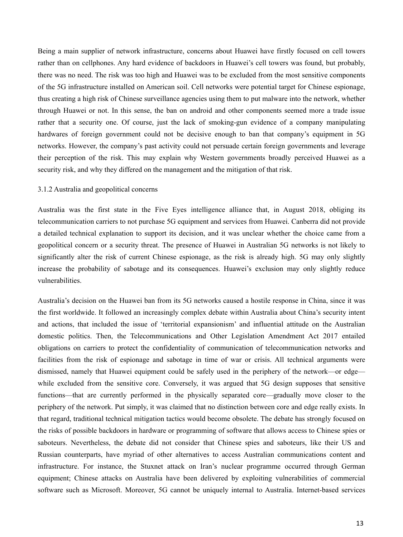Being a main supplier of network infrastructure, concerns about Huawei have firstly focused on cell towers rather than on cellphones. Any hard evidence of backdoors in Huawei's cell towers was found, but probably, there was no need. The risk was too high and Huawei was to be excluded from the most sensitive components of the 5G infrastructure installed on American soil. Cell networks were potential target for Chinese espionage, thus creating a high risk of Chinese surveillance agencies using them to put malware into the network, whether through Huawei or not. In this sense, the ban on android and other components seemed more a trade issue rather that a security one. Of course, just the lack of smoking-gun evidence of a company manipulating hardwares of foreign government could not be decisive enough to ban that company's equipment in 5G networks. However, the company's past activity could not persuade certain foreign governments and leverage their perception of the risk. This may explain why Western governments broadly perceived Huawei as a security risk, and why they differed on the management and the mitigation of that risk.

#### 3.1.2 Australia and geopolitical concerns

Australia was the first state in the Five Eyes intelligence alliance that, in August 2018, obliging its telecommunication carriers to not purchase 5G equipment and services from Huawei. Canberra did not provide a detailed technical explanation to support its decision, and it was unclear whether the choice came from a geopolitical concern or a security threat. The presence of Huawei in Australian 5G networks is not likely to significantly alter the risk of current Chinese espionage, as the risk is already high. 5G may only slightly increase the probability of sabotage and its consequences. Huawei's exclusion may only slightly reduce vulnerabilities.

Australia's decision on the Huawei ban from its 5G networks caused a hostile response in China, since it was the first worldwide. It followed an increasingly complex debate within Australia about China's security intent and actions, that included the issue of 'territorial expansionism' and influential attitude on the Australian domestic politics. Then, the Telecommunications and Other Legislation Amendment Act 2017 entailed obligations on carriers to protect the confidentiality of communication of telecommunication networks and facilities from the risk of espionage and sabotage in time of war or crisis. All technical arguments were dismissed, namely that Huawei equipment could be safely used in the periphery of the network—or edge while excluded from the sensitive core. Conversely, it was argued that 5G design supposes that sensitive functions—that are currently performed in the physically separated core—gradually move closer to the periphery of the network. Put simply, it was claimed that no distinction between core and edge really exists. In that regard, traditional technical mitigation tactics would become obsolete. The debate has strongly focused on the risks of possible backdoors in hardware or programming of software that allows access to Chinese spies or saboteurs. Nevertheless, the debate did not consider that Chinese spies and saboteurs, like their US and Russian counterparts, have myriad of other alternatives to access Australian communications content and infrastructure. For instance, the Stuxnet attack on Iran's nuclear programme occurred through German equipment; Chinese attacks on Australia have been delivered by exploiting vulnerabilities of commercial software such as Microsoft. Moreover, 5G cannot be uniquely internal to Australia. Internet-based services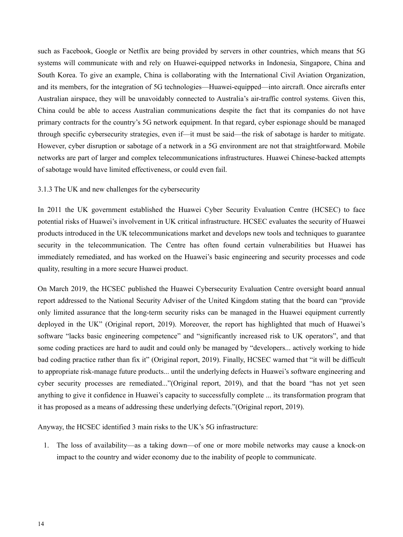such as Facebook, Google or Netflix are being provided by servers in other countries, which means that 5G systems will communicate with and rely on Huawei-equipped networks in Indonesia, Singapore, China and South Korea. To give an example, China is collaborating with the International Civil Aviation Organization, and its members, for the integration of 5G technologies—Huawei-equipped—into aircraft. Once aircrafts enter Australian airspace, they will be unavoidably connected to Australia's air-traffic control systems. Given this, China could be able to access Australian communications despite the fact that its companies do not have primary contracts for the country's 5G network equipment. In that regard, cyber espionage should be managed through specific cybersecurity strategies, even if—it must be said—the risk of sabotage is harder to mitigate. However, cyber disruption or sabotage of a network in a 5G environment are not that straightforward. Mobile networks are part of larger and complex telecommunications infrastructures. Huawei Chinese-backed attempts of sabotage would have limited effectiveness, or could even fail.

# 3.1.3 The UK and new challenges for the cybersecurity

In 2011 the UK government established the Huawei Cyber Security Evaluation Centre (HCSEC) to face potential risks of Huawei's involvement in UK critical infrastructure. HCSEC evaluates the security of Huawei products introduced in the UK telecommunications market and develops new tools and techniques to guarantee security in the telecommunication. The Centre has often found certain vulnerabilities but Huawei has immediately remediated, and has worked on the Huawei's basic engineering and security processes and code quality, resulting in a more secure Huawei product.

On March 2019, the HCSEC published the Huawei Cybersecurity Evaluation Centre oversight board annual report addressed to the National Security Adviser of the United Kingdom stating that the board can "provide only limited assurance that the long-term security risks can be managed in the Huawei equipment currently deployed in the UK" (Original report, 2019). Moreover, the report has highlighted that much of Huawei's software "lacks basic engineering competence" and "significantly increased risk to UK operators", and that some coding practices are hard to audit and could only be managed by "developers... actively working to hide bad coding practice rather than fix it" (Original report, 2019). Finally, HCSEC warned that "it will be difficult to appropriate risk-manage future products... until the underlying defects in Huawei's software engineering and cyber security processes are remediated..."(Original report, 2019), and that the board "has not yet seen anything to give it confidence in Huawei's capacity to successfully complete ... its transformation program that it has proposed as a means of addressing these underlying defects."(Original report, 2019).

Anyway, the HCSEC identified 3 main risks to the UK's 5G infrastructure:

1. The loss of availability—as a taking down—of one or more mobile networks may cause a knock-on impact to the country and wider economy due to the inability of people to communicate.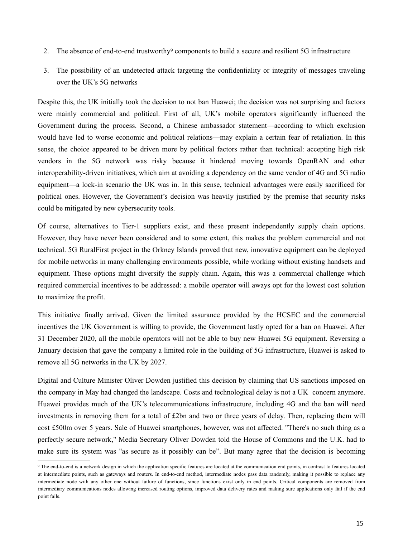- <span id="page-14-1"></span>2.The absence of end-to-end trustworthy<sup>[9](#page-14-0)</sup> components to build a secure and resilient 5G infrastructure
- 3. The possibility of an undetected attack targeting the confidentiality or integrity of messages traveling over the UK's 5G networks

Despite this, the UK initially took the decision to not ban Huawei; the decision was not surprising and factors were mainly commercial and political. First of all, UK's mobile operators significantly influenced the Government during the process. Second, a Chinese ambassador statement—according to which exclusion would have led to worse economic and political relations—may explain a certain fear of retaliation. In this sense, the choice appeared to be driven more by political factors rather than technical: accepting high risk vendors in the 5G network was risky because it hindered moving towards OpenRAN and other interoperability-driven initiatives, which aim at avoiding a dependency on the same vendor of 4G and 5G radio equipment—a lock-in scenario the UK was in. In this sense, technical advantages were easily sacrificed for political ones. However, the Government's decision was heavily justified by the premise that security risks could be mitigated by new cybersecurity tools.

Of course, alternatives to Tier-1 suppliers exist, and these present independently supply chain options. However, they have never been considered and to some extent, this makes the problem commercial and not technical. 5G RuralFirst project in the Orkney Islands proved that new, innovative equipment can be deployed for mobile networks in many challenging environments possible, while working without existing handsets and equipment. These options might diversify the supply chain. Again, this was a commercial challenge which required commercial incentives to be addressed: a mobile operator will aways opt for the lowest cost solution to maximize the profit.

This initiative finally arrived. Given the limited assurance provided by the HCSEC and the commercial incentives the UK Government is willing to provide, the Government lastly opted for a ban on Huawei. After 31 December 2020, all the mobile operators will not be able to buy new Huawei 5G equipment. Reversing a January decision that gave the company a limited role in the building of 5G infrastructure, Huawei is asked to remove all 5G networks in the UK by 2027.

Digital and Culture Minister Oliver Dowden justified this decision by claiming that US sanctions imposed on the company in May had changed the landscape. Costs and technological delay is not a UK concern anymore. Huawei provides much of the UK's telecommunications infrastructure, including 4G and the ban will need investments in removing them for a total of £2bn and two or three years of delay. Then, replacing them will cost £500m over 5 years. Sale of Huawei smartphones, however, was not affected. "There's no such thing as a perfectly secure network," Media Secretary Oliver Dowden told the House of Commons and the U.K. had to make sure its system was "as secure as it possibly can be". But many agree that the decision is becoming

<span id="page-14-0"></span><sup>&</sup>lt;sup>[9](#page-14-1)</sup> The end-to-end is a network design in which the application specific features are located at the communication end points, in contrast to features located at intermediate points, such as gateways and routers. In end-to-end method, intermediate nodes pass data randomly, making it possible to replace any intermediate node with any other one without failure of functions, since functions exist only in end points. Critical components are removed from intermediary communications nodes allowing increased routing options, improved data delivery rates and making sure applications only fail if the end point fails.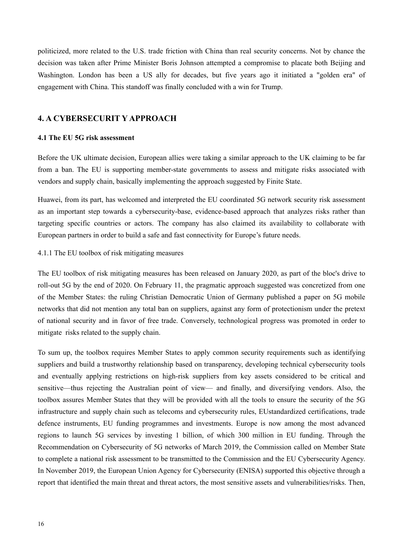politicized, more related to the U.S. trade friction with China than real security concerns. Not by chance the decision was taken after Prime Minister Boris Johnson attempted a compromise to placate both Beijing and Washington. London has been a US ally for decades, but five years ago it initiated a "golden era" of engagement with China. This standoff was finally concluded with a win for Trump.

# <span id="page-15-0"></span>**4. A CYBERSECURIT Y APPROACH**

# <span id="page-15-1"></span>**4.1 The EU 5G risk assessment**

Before the UK ultimate decision, European allies were taking a similar approach to the UK claiming to be far from a ban. The EU is supporting member-state governments to assess and mitigate risks associated with vendors and supply chain, basically implementing the approach suggested by Finite State.

Huawei, from its part, has welcomed and interpreted the EU coordinated 5G network security risk assessment as an important step towards a cybersecurity-base, evidence-based approach that analyzes risks rather than targeting specific countries or actors. The company has also claimed its availability to collaborate with European partners in order to build a safe and fast connectivity for Europe's future needs.

# 4.1.1 The EU toolbox of risk mitigating measures

The EU toolbox of risk mitigating measures has been released on January 2020, as part of the bloc's drive to roll-out 5G by the end of 2020. On February 11, the pragmatic approach suggested was concretized from one of the Member States: the ruling Christian Democratic Union of Germany published a paper on 5G mobile networks that did not mention any total ban on suppliers, against any form of protectionism under the pretext of national security and in favor of free trade. Conversely, technological progress was promoted in order to mitigate risks related to the supply chain.

To sum up, the toolbox requires Member States to apply common security requirements such as identifying suppliers and build a trustworthy relationship based on transparency, developing technical cybersecurity tools and eventually applying restrictions on high-risk suppliers from key assets considered to be critical and sensitive—thus rejecting the Australian point of view— and finally, and diversifying vendors. Also, the toolbox assures Member States that they will be provided with all the tools to ensure the security of the 5G infrastructure and supply chain such as telecoms and cybersecurity rules, EUstandardized certifications, trade defence instruments, EU funding programmes and investments. Europe is now among the most advanced regions to launch 5G services by investing 1 billion, of which 300 million in EU funding. Through the Recommendation on Cybersecurity of 5G networks of March 2019, the Commission called on Member State to complete a national risk assessment to be transmitted to the Commission and the EU Cybersecurity Agency. In November 2019, the European Union Agency for Cybersecurity (ENISA) supported this objective through a report that identified the main threat and threat actors, the most sensitive assets and vulnerabilities/risks. Then,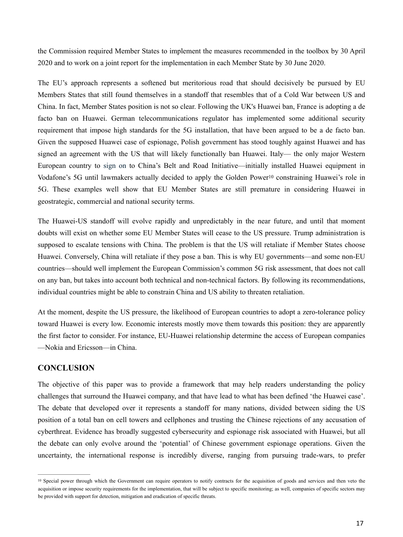the Commission required Member States to implement the measures recommended in the toolbox by 30 April 2020 and to work on a joint report for the implementation in each Member State by 30 June 2020.

The EU's approach represents a softened but meritorious road that should decisively be pursued by EU Members States that still found themselves in a standoff that resembles that of a Cold War between US and China. In fact, Member States position is not so clear. Following the UK's Huawei ban, France is adopting a de facto ban on Huawei. German telecommunications regulator has implemented some additional security requirement that impose high standards for the 5G installation, that have been argued to be a de facto ban. Given the supposed Huawei case of espionage, Polish government has stood toughly against Huawei and has signed an agreement with the US that will likely functionally ban Huawei. Italy— the only major Western European country to [sign on](https://www.cnbc.com/2019/03/27/italys-joins-chinas-belt-and-road-initiative.html) to China's Belt and Road Initiative—initially installed Huawei equipment in Vodafone's 5G until lawmakers actually decided to apply the Golden Power<sup>[10](#page-16-1)</sup> constraining Huawei's role in 5G. These examples well show that EU Member States are still premature in considering Huawei in geostrategic, commercial and national security terms.

<span id="page-16-2"></span>The Huawei-US standoff will evolve rapidly and unpredictably in the near future, and until that moment doubts will exist on whether some EU Member States will cease to the US pressure. Trump administration is supposed to escalate tensions with China. The problem is that the US will retaliate if Member States choose Huawei. Conversely, China will retaliate if they pose a ban. This is why EU governments—and some non-EU countries—should well implement the European Commission's common 5G risk assessment, that does not call on any ban, but takes into account both technical and non-technical factors. By following its recommendations, individual countries might be able to constrain China and US ability to threaten retaliation.

At the moment, despite the US pressure, the likelihood of European countries to adopt a zero-tolerance policy toward Huawei is every low. Economic interests mostly move them towards this position: they are apparently the first factor to consider. For instance, EU-Huawei relationship determine the access of European companies —Nokia and Ericsson—in China.

# <span id="page-16-0"></span>**CONCLUSION**

The objective of this paper was to provide a framework that may help readers understanding the policy challenges that surround the Huawei company, and that have lead to what has been defined 'the Huawei case'. The debate that developed over it represents a standoff for many nations, divided between siding the US position of a total ban on cell towers and cellphones and trusting the Chinese rejections of any accusation of cyberthreat. Evidence has broadly suggested cybersecurity and espionage risk associated with Huawei, but all the debate can only evolve around the 'potential' of Chinese government espionage operations. Given the uncertainty, the international response is incredibly diverse, ranging from pursuing trade-wars, to prefer

<span id="page-16-1"></span><sup>&</sup>lt;sup>10</sup>Special power through which the Government can require operators to notify contracts for the acquisition of goods and services and then veto the acquisition or impose security requirements for the implementation, that will be subject to specific monitoring; as well, companies of specific sectors may be provided with support for detection, mitigation and eradication of specific threats.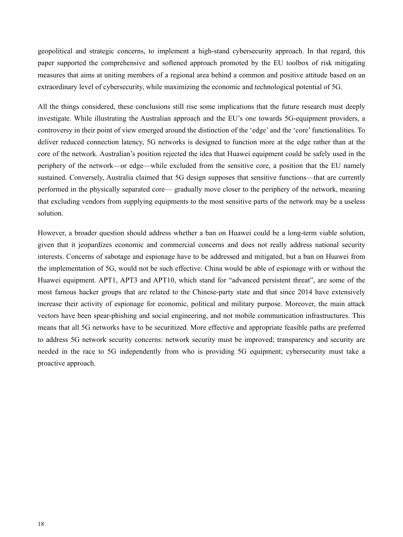geopolitical and strategic concerns, to implement a high-stand cybersecurity approach. In that regard, this paper supported the comprehensive and softened approach promoted by the EU toolbox of risk mitigating measures that aims at uniting members of a regional area behind a common and positive attitude based on an extraordinary level of cybersecurity, while maximizing the economic and technological potential of 5G.

All the things considered, these conclusions still rise some implications that the future research must deeply investigate. While illustrating the Australian approach and the EU's one towards 5G-equipment providers, a controversy in their point of view emerged around the distinction of the 'edge' and the 'core' functionalities. To deliver reduced connection latency, 5G networks is designed to function more at the edge rather than at the core of the network. Australian's position rejected the idea that Huawei equipment could be safely used in the periphery of the network—or edge—while excluded from the sensitive core, a position that the EU namely sustained. Conversely, Australia claimed that 5G design supposes that sensitive functions—that are currently performed in the physically separated core— gradually move closer to the periphery of the network, meaning that excluding vendors from supplying equipments to the most sensitive parts of the network may be a useless solution.

However, a broader question should address whether a ban on Huawei could be a long-term viable solution, given that it jeopardizes economic and commercial concerns and does not really address national security interests. Concerns of sabotage and espionage have to be addressed and mitigated, but a ban on Huawei from the implementation of 5G, would not be such effective. China would be able of espionage with or without the Huawei equipment. APT1, APT3 and APT10, which stand for "advanced persistent threat", are some of the most famous hacker groups that are related to the Chinese-party state and that since 2014 have extensively increase their activity of espionage for economic, political and military purpose. Moreover, the main attack vectors have been spear-phishing and social engineering, and not mobile communication infrastructures. This means that all 5G networks have to be securitized. More effective and appropriate feasible paths are preferred to address 5G network security concerns: network security must be improved; transparency and security are needed in the race to 5G independently from who is providing 5G equipment; cybersecurity must take a proactive approach.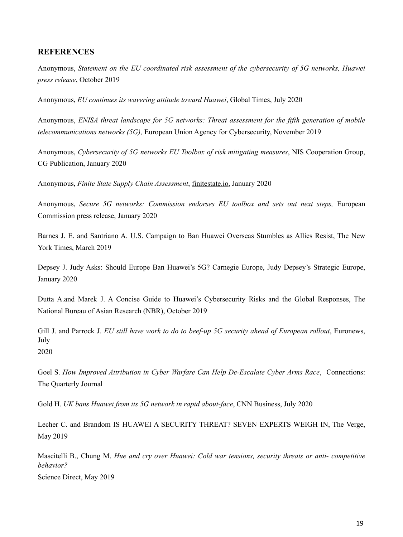# <span id="page-18-0"></span>**REFERENCES**

Anonymous, *Statement on the EU coordinated risk assessment of the cybersecurity of 5G networks, Huawei press release*, October 2019

Anonymous, *EU continues its wavering attitude toward Huawei*, Global Times, July 2020

Anonymous, *ENISA threat landscape for 5G networks: Threat assessment for the fifth generation of mobile telecommunications networks (5G),* European Union Agency for Cybersecurity, November 2019

Anonymous, *Cybersecurity of 5G networks EU Toolbox of risk mitigating measures*, NIS Cooperation Group, CG Publication, January 2020

Anonymous, *Finite State Supply Chain Assessment*, [finitestate.io](http://finitestate.io/), January 2020

Anonymous, *Secure 5G networks: Commission endorses EU toolbox and sets out next steps*. European Commission press release, January 2020

Barnes J. E. and Santriano A. U.S. Campaign to Ban Huawei Overseas Stumbles as Allies Resist, The New York Times, March 2019

Depsey J. Judy Asks: Should Europe Ban Huawei's 5G? Carnegie Europe, Judy Depsey's Strategic Europe, January 2020

Dutta A.and Marek J. A Concise Guide to Huawei's Cybersecurity Risks and the Global Responses, The National Bureau of Asian Research (NBR), October 2019

Gill J. and Parrock J. *EU still have work to do to beef-up 5G security ahead of European rollout*, Euronews, July 2020

Goel S. *How Improved Attribution in Cyber Warfare Can Help De-Escalate Cyber Arms Race*, Connections: The Quarterly Journal

Gold H. *UK bans Huawei from its 5G network in rapid about-face*, CNN Business, July 2020

Lecher C. and Brandom IS HUAWEI A SECURITY THREAT? SEVEN EXPERTS WEIGH IN, The Verge, May 2019

Mascitelli B., Chung M. *Hue and cry over Huawei: Cold war tensions, security threats or anti- competitive behavior?* Science Direct, May 2019

19